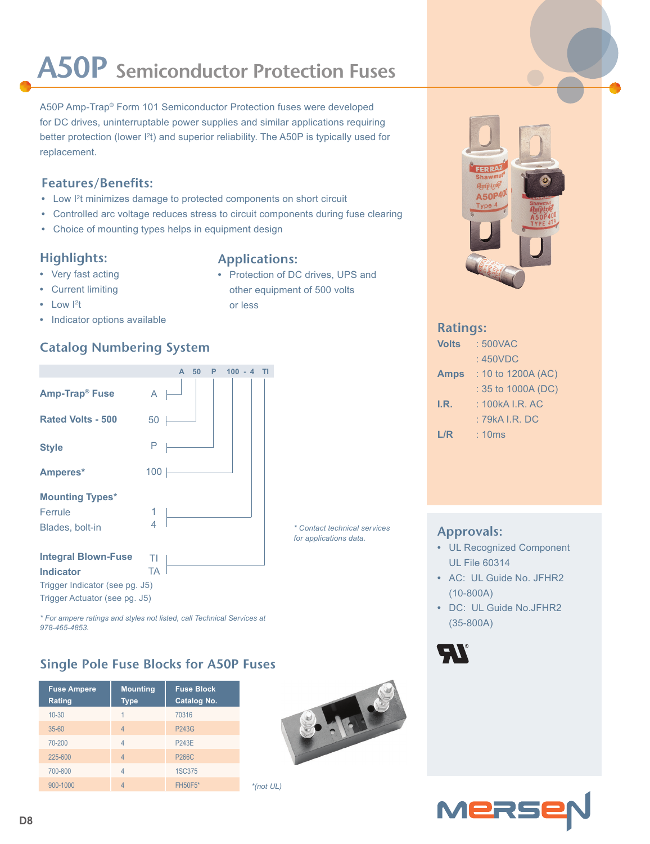# **A50P Semiconductor Protection Fuses**

A50P Amp-Trap® Form 101 Semiconductor Protection fuses were developed for DC drives, uninterruptable power supplies and similar applications requiring better protection (lower  $l<sup>2</sup>$ t) and superior reliability. The A50P is typically used for replacement.

### **Features/Benefits:**

- Low I<sup>2</sup>t minimizes damage to protected components on short circuit
- **•** Controlled arc voltage reduces stress to circuit components during fuse clearing
- **•** Choice of mounting types helps in equipment design

### **Highlights:**

- **•** Very fast acting
- 
- **•** Current limiting
- Low <sup>12</sup>t
- **•** Indicator options available

## **Catalog Numbering System**



*\* For ampere ratings and styles not listed, call Technical Services at 978-465-4853.*

### **Single Pole Fuse Blocks for A50P Fuses**

| <b>Fuse Ampere</b><br>Rating | <b>Mounting</b><br><b>Type</b> | <b>Fuse Block</b><br><b>Catalog No.</b> |
|------------------------------|--------------------------------|-----------------------------------------|
| $10 - 30$                    |                                | 70316                                   |
| $35 - 60$                    | $\overline{4}$                 | <b>P243G</b>                            |
| 70-200                       | $\overline{4}$                 | <b>P243E</b>                            |
| 225-600                      | $\overline{4}$                 | <b>P266C</b>                            |
| 700-800                      | Δ                              | <b>1SC375</b>                           |
| 900-1000                     |                                | <b>FH50F5*</b>                          |

### **Applications:**

900-1000 4 FH50F5\* *\*(not UL)*

**•** Protection of DC drives, UPS and other equipment of 500 volts or less

> *\* Contact technical services for applications data.*

### **Ratings:**

| <b>Volts</b> | : 500VAC             |  |  |  |
|--------------|----------------------|--|--|--|
|              | :450VDC              |  |  |  |
| <b>Amps</b>  | $: 10$ to 1200A (AC) |  |  |  |
|              | : 35 to 1000A (DC)   |  |  |  |
| I.R.         | $: 100kA$ LR. AC     |  |  |  |
|              | : 79kA I.R. DC       |  |  |  |
| L/R          | : 10ms               |  |  |  |

### **Approvals:**

- **•** UL Recognized Component UL File 60314
- **•** AC: UL Guide No. JFHR2 (10-800A)
- **•** DC: UL Guide No.JFHR2 (35-800A)